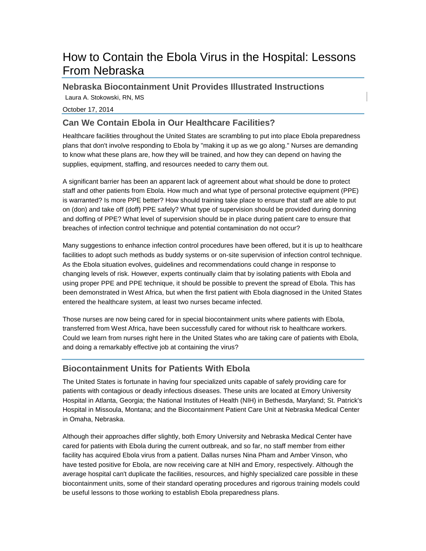# How to Contain the Ebola Virus in the Hospital: Lessons From Nebraska

**Nebraska Biocontainment Unit Provides Illustrated Instructions**

Laura A. Stokowski, RN, MS

October 17, 2014

# **Can We Contain Ebola in Our Healthcare Facilities?**

Healthcare facilities throughout the United States are scrambling to put into place Ebola preparedness plans that don't involve responding to Ebola by "making it up as we go along." Nurses are demanding to know what these plans are, how they will be trained, and how they can depend on having the supplies, equipment, staffing, and resources needed to carry them out.

A significant barrier has been an apparent lack of agreement about what should be done to protect staff and other patients from Ebola. How much and what type of personal protective equipment (PPE) is warranted? Is more PPE better? How should training take place to ensure that staff are able to put on (don) and take off (doff) PPE safely? What type of supervision should be provided during donning and doffing of PPE? What level of supervision should be in place during patient care to ensure that breaches of infection control technique and potential contamination do not occur?

Many suggestions to enhance infection control procedures have been offered, but it is up to healthcare facilities to adopt such methods as buddy systems or on-site supervision of infection control technique. As the Ebola situation evolves, guidelines and recommendations could change in response to changing levels of risk. However, experts continually claim that by isolating patients with Ebola and using proper PPE and PPE technique, it should be possible to prevent the spread of Ebola. This has been demonstrated in West Africa, but when the first patient with Ebola diagnosed in the United States entered the healthcare system, at least two nurses became infected.

Those nurses are now being cared for in special biocontainment units where patients with Ebola, transferred from West Africa, have been successfully cared for without risk to healthcare workers. Could we learn from nurses right here in the United States who are taking care of patients with Ebola, and doing a remarkably effective job at containing the virus?

# **Biocontainment Units for Patients With Ebola**

The United States is fortunate in having four specialized units capable of safely providing care for patients with contagious or deadly infectious diseases. These units are located at Emory University Hospital in Atlanta, Georgia; the National Institutes of Health (NIH) in Bethesda, Maryland; St. Patrick's Hospital in Missoula, Montana; and the Biocontainment Patient Care Unit at Nebraska Medical Center in Omaha, Nebraska.

Although their approaches differ slightly, both Emory University and Nebraska Medical Center have cared for patients with Ebola during the current outbreak, and so far, no staff member from either facility has acquired Ebola virus from a patient. Dallas nurses Nina Pham and Amber Vinson, who have tested positive for Ebola, are now receiving care at NIH and Emory, respectively. Although the average hospital can't duplicate the facilities, resources, and highly specialized care possible in these biocontainment units, some of their standard operating procedures and rigorous training models could be useful lessons to those working to establish Ebola preparedness plans.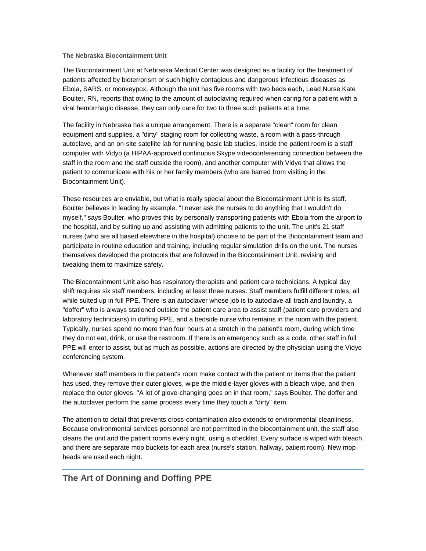#### **The Nebraska Biocontainment Unit**

The Biocontainment Unit at Nebraska Medical Center was designed as a facility for the treatment of patients affected by bioterrorism or such highly contagious and dangerous infectious diseases as Ebola, SARS, or monkeypox. Although the unit has five rooms with two beds each, Lead Nurse Kate Boulter, RN, reports that owing to the amount of autoclaving required when caring for a patient with a viral hemorrhagic disease, they can only care for two to three such patients at a time.

The facility in Nebraska has a unique arrangement. There is a separate "clean" room for clean equipment and supplies, a "dirty" staging room for collecting waste, a room with a pass-through autoclave, and an on-site satellite lab for running basic lab studies. Inside the patient room is a staff computer with Vidyo (a HIPAA-approved continuous Skype videoconferencing connection between the staff in the room and the staff outside the room), and another computer with Vidyo that allows the patient to communicate with his or her family members (who are barred from visiting in the Biocontainment Unit).

These resources are enviable, but what is really special about the Biocontainment Unit is its staff. Boulter believes in leading by example. "I never ask the nurses to do anything that I wouldn't do myself," says Boulter, who proves this by personally transporting patients with Ebola from the airport to the hospital, and by suiting up and assisting with admitting patients to the unit. The unit's 21 staff nurses (who are all based elsewhere in the hospital) choose to be part of the Biocontainment team and participate in routine education and training, including regular simulation drills on the unit. The nurses themselves developed the protocols that are followed in the Biocontainment Unit, revising and tweaking them to maximize safety.

The Biocontainment Unit also has respiratory therapists and patient care technicians. A typical day shift requires six staff members, including at least three nurses. Staff members fulfill different roles, all while suited up in full PPE. There is an autoclaver whose job is to autoclave all trash and laundry, a "doffer" who is always stationed outside the patient care area to assist staff (patient care providers and laboratory technicians) in doffing PPE, and a bedside nurse who remains in the room with the patient. Typically, nurses spend no more than four hours at a stretch in the patient's room, during which time they do not eat, drink, or use the restroom. If there is an emergency such as a code, other staff in full PPE will enter to assist, but as much as possible, actions are directed by the physician using the Vidyo conferencing system.

Whenever staff members in the patient's room make contact with the patient or items that the patient has used, they remove their outer gloves, wipe the middle-layer gloves with a bleach wipe, and then replace the outer gloves. "A lot of glove-changing goes on in that room," says Boulter. The doffer and the autoclaver perform the same process every time they touch a "dirty" item.

The attention to detail that prevents cross-contamination also extends to environmental cleanliness. Because environmental services personnel are not permitted in the biocontainment unit, the staff also cleans the unit and the patient rooms every night, using a checklist. Every surface is wiped with bleach and there are separate mop buckets for each area (nurse's station, hallway, patient room). New mop heads are used each night.

## **The Art of Donning and Doffing PPE**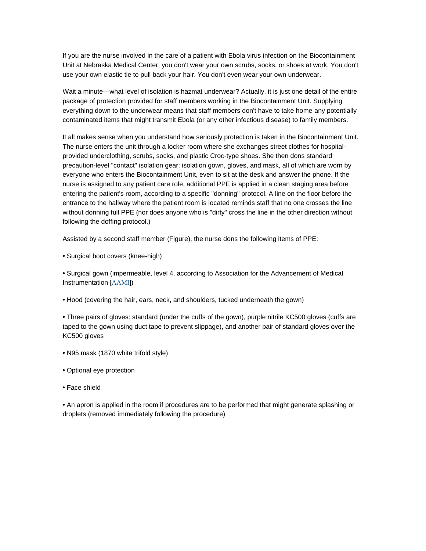If you are the nurse involved in the care of a patient with Ebola virus infection on the Biocontainment Unit at Nebraska Medical Center, you don't wear your own scrubs, socks, or shoes at work. You don't use your own elastic tie to pull back your hair. You don't even wear your own underwear.

Wait a minute—what level of isolation is hazmat underwear? Actually, it is just one detail of the entire package of protection provided for staff members working in the Biocontainment Unit. Supplying everything down to the underwear means that staff members don't have to take home any potentially contaminated items that might transmit Ebola (or any other infectious disease) to family members.

It all makes sense when you understand how seriously protection is taken in the Biocontainment Unit. The nurse enters the unit through a locker room where she exchanges street clothes for hospitalprovided underclothing, scrubs, socks, and plastic Croc-type shoes. She then dons standard precaution-level "contact" isolation gear: isolation gown, gloves, and mask, all of which are worn by everyone who enters the Biocontainment Unit, even to sit at the desk and answer the phone. If the nurse is assigned to any patient care role, additional PPE is applied in a clean staging area before entering the patient's room, according to a specific "donning" protocol. A line on the floor before the entrance to the hallway where the patient room is located reminds staff that no one crosses the line without donning full PPE (nor does anyone who is "dirty" cross the line in the other direction without following the doffing protocol.)

Assisted by a second staff member (Figure), the nurse dons the following items of PPE:

**•** Surgical boot covers (knee-high)

**•** Surgical gown (impermeable, level 4, according to Association for the Advancement of Medical Instrumentation [[AAMI](http://www.aami.org/standards/)])

**•** Hood (covering the hair, ears, neck, and shoulders, tucked underneath the gown)

**•** Three pairs of gloves: standard (under the cuffs of the gown), purple nitrile KC500 gloves (cuffs are taped to the gown using duct tape to prevent slippage), and another pair of standard gloves over the KC500 gloves

- N95 mask (1870 white trifold style)
- Optional eye protection
- Face shield

**•** An apron is applied in the room if procedures are to be performed that might generate splashing or droplets (removed immediately following the procedure)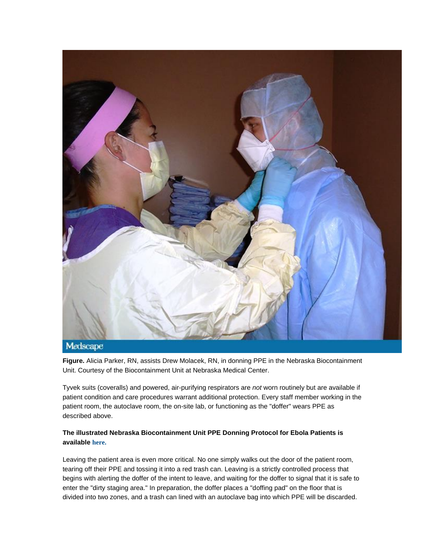

**Figure.** Alicia Parker, RN, assists Drew Molacek, RN, in donning PPE in the Nebraska Biocontainment Unit. Courtesy of the Biocontainment Unit at Nebraska Medical Center.

Tyvek suits (coveralls) and powered, air-purifying respirators are *not* worn routinely but are available if patient condition and care procedures warrant additional protection. Every staff member working in the patient room, the autoclave room, the on-site lab, or functioning as the "doffer" wears PPE as described above.

### **The illustrated Nebraska Biocontainment Unit PPE Donning Protocol for Ebola Patients is available [here.](http://app1.unmc.edu/nursing/heroes/pdf/vhfppe/donningBiologicalPPE-EbolaPatients-8.5x11-CC-v1.02.pdf)**

Leaving the patient area is even more critical. No one simply walks out the door of the patient room, tearing off their PPE and tossing it into a red trash can. Leaving is a strictly controlled process that begins with alerting the doffer of the intent to leave, and waiting for the doffer to signal that it is safe to enter the "dirty staging area." In preparation, the doffer places a "doffing pad" on the floor that is divided into two zones, and a trash can lined with an autoclave bag into which PPE will be discarded.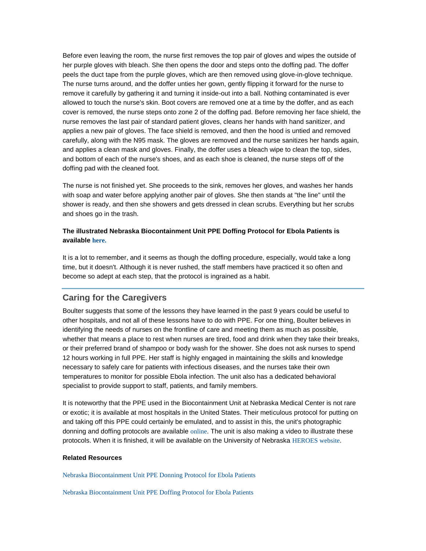Before even leaving the room, the nurse first removes the top pair of gloves and wipes the outside of her purple gloves with bleach. She then opens the door and steps onto the doffing pad. The doffer peels the duct tape from the purple gloves, which are then removed using glove-in-glove technique. The nurse turns around, and the doffer unties her gown, gently flipping it forward for the nurse to remove it carefully by gathering it and turning it inside-out into a ball. Nothing contaminated is ever allowed to touch the nurse's skin. Boot covers are removed one at a time by the doffer, and as each cover is removed, the nurse steps onto zone 2 of the doffing pad. Before removing her face shield, the nurse removes the last pair of standard patient gloves, cleans her hands with hand sanitizer, and applies a new pair of gloves. The face shield is removed, and then the hood is untied and removed carefully, along with the N95 mask. The gloves are removed and the nurse sanitizes her hands again, and applies a clean mask and gloves. Finally, the doffer uses a bleach wipe to clean the top, sides, and bottom of each of the nurse's shoes, and as each shoe is cleaned, the nurse steps off of the doffing pad with the cleaned foot.

The nurse is not finished yet. She proceeds to the sink, removes her gloves, and washes her hands with soap and water before applying another pair of gloves. She then stands at "the line" until the shower is ready, and then she showers and gets dressed in clean scrubs. Everything but her scrubs and shoes go in the trash.

#### **The illustrated Nebraska Biocontainment Unit PPE Doffing Protocol for Ebola Patients is available [here.](http://app1.unmc.edu/nursing/heroes/pdf/vhfppe/doffingBiologicalPPE-EbolaPatients-8.5x11-CC-v1.01.pdf)**

It is a lot to remember, and it seems as though the doffing procedure, especially, would take a long time, but it doesn't. Although it is never rushed, the staff members have practiced it so often and become so adept at each step, that the protocol is ingrained as a habit.

### **Caring for the Caregivers**

Boulter suggests that some of the lessons they have learned in the past 9 years could be useful to other hospitals, and not all of these lessons have to do with PPE. For one thing, Boulter believes in identifying the needs of nurses on the frontline of care and meeting them as much as possible, whether that means a place to rest when nurses are tired, food and drink when they take their breaks, or their preferred brand of shampoo or body wash for the shower. She does not ask nurses to spend 12 hours working in full PPE. Her staff is highly engaged in maintaining the skills and knowledge necessary to safely care for patients with infectious diseases, and the nurses take their own temperatures to monitor for possible Ebola infection. The unit also has a dedicated behavioral specialist to provide support to staff, patients, and family members.

It is noteworthy that the PPE used in the Biocontainment Unit at Nebraska Medical Center is not rare or exotic; it is available at most hospitals in the United States. Their meticulous protocol for putting on and taking off this PPE could certainly be emulated, and to assist in this, the unit's photographic donning and doffing protocols are available [online](http://app1.unmc.edu/nursing/heroes/ppe_posters_vhf.cfm). The unit is also making a video to illustrate these protocols. When it is finished, it will be available on the University of Nebraska [HEROES website](http://www.unmcheroes.org/).

#### **Related Resources**

[Nebraska Biocontainment Unit PPE Donning Protocol for Ebola Patients](http://app1.unmc.edu/nursing/heroes/pdf/vhfppe/donningBiologicalPPE-EbolaPatients-8.5x11-CC-v1.02.pdf)

[Nebraska Biocontainment Unit PPE Doffing Protocol for Ebola Patients](http://app1.unmc.edu/nursing/heroes/pdf/vhfppe/doffingBiologicalPPE-EbolaPatients-8.5x11-CC-v1.01.pdf)